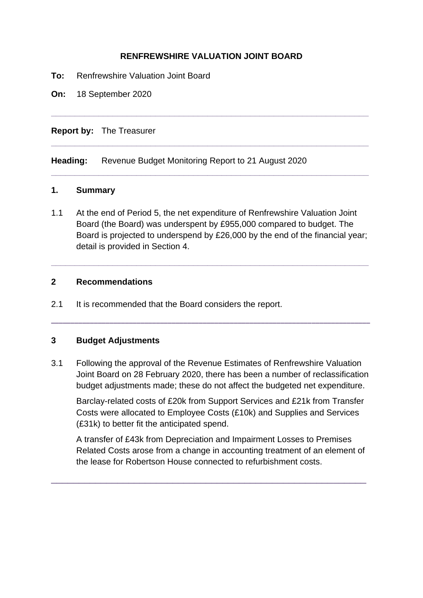## **RENFREWSHIRE VALUATION JOINT BOARD**

**\_\_\_\_\_\_\_\_\_\_\_\_\_\_\_\_\_\_\_\_\_\_\_\_\_\_\_\_\_\_\_\_\_\_\_\_\_\_\_\_\_\_\_\_\_\_\_\_\_\_\_\_\_\_\_\_\_\_\_\_\_\_\_\_\_\_\_**

**\_\_\_\_\_\_\_\_\_\_\_\_\_\_\_\_\_\_\_\_\_\_\_\_\_\_\_\_\_\_\_\_\_\_\_\_\_\_\_\_\_\_\_\_\_\_\_\_\_\_\_\_\_\_\_\_\_\_\_\_\_\_\_\_\_\_\_**

**\_\_\_\_\_\_\_\_\_\_\_\_\_\_\_\_\_\_\_\_\_\_\_\_\_\_\_\_\_\_\_\_\_\_\_\_\_\_\_\_\_\_\_\_\_\_\_\_\_\_\_\_\_\_\_\_\_\_\_\_\_\_\_\_\_\_\_**

- **To:** Renfrewshire Valuation Joint Board
- **On:** 18 September 2020

#### **Report by:** The Treasurer

**Heading:** Revenue Budget Monitoring Report to 21 August 2020

#### **1. Summary**

1.1 At the end of Period 5, the net expenditure of Renfrewshire Valuation Joint Board (the Board) was underspent by £955,000 compared to budget. The Board is projected to underspend by £26,000 by the end of the financial year; detail is provided in Section 4.

**\_\_\_\_\_\_\_\_\_\_\_\_\_\_\_\_\_\_\_\_\_\_\_\_\_\_\_\_\_\_\_\_\_\_\_\_\_\_\_\_\_\_\_\_\_\_\_\_\_\_\_\_\_\_\_\_\_\_\_\_\_\_\_\_\_\_\_**

#### **2 Recommendations**

2.1 It is recommended that the Board considers the report.

### **3 Budget Adjustments**

3.1 Following the approval of the Revenue Estimates of Renfrewshire Valuation Joint Board on 28 February 2020, there has been a number of reclassification budget adjustments made; these do not affect the budgeted net expenditure.

**\_\_\_\_\_\_\_\_\_\_\_\_\_\_\_\_\_\_\_\_\_\_\_\_\_\_\_\_\_\_\_\_\_\_\_\_\_\_\_\_\_\_\_\_\_\_\_\_\_\_\_\_\_\_\_\_\_\_\_\_\_\_\_\_\_\_\_\_\_\_\_\_\_\_\_\_\_\_\_\_\_\_** 

Barclay-related costs of £20k from Support Services and £21k from Transfer Costs were allocated to Employee Costs (£10k) and Supplies and Services (£31k) to better fit the anticipated spend.

A transfer of £43k from Depreciation and Impairment Losses to Premises Related Costs arose from a change in accounting treatment of an element of the lease for Robertson House connected to refurbishment costs.

\_\_\_\_\_\_\_\_\_\_\_\_\_\_\_\_\_\_\_\_\_\_\_\_\_\_\_\_\_\_\_\_\_\_\_\_\_\_\_\_\_\_\_\_\_\_\_\_\_\_\_\_\_\_\_\_\_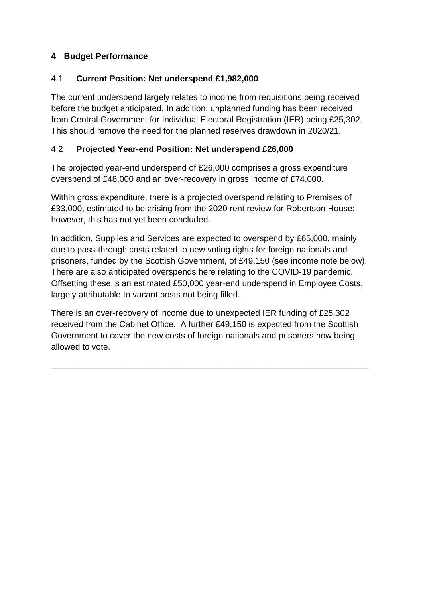## **4 Budget Performance**

## 4.1 **Current Position: Net underspend £1,982,000**

The current underspend largely relates to income from requisitions being received before the budget anticipated. In addition, unplanned funding has been received from Central Government for Individual Electoral Registration (IER) being £25,302. This should remove the need for the planned reserves drawdown in 2020/21.

## 4.2 **Projected Year-end Position: Net underspend £26,000**

The projected year-end underspend of £26,000 comprises a gross expenditure overspend of £48,000 and an over-recovery in gross income of £74,000.

Within gross expenditure, there is a projected overspend relating to Premises of £33,000, estimated to be arising from the 2020 rent review for Robertson House; however, this has not yet been concluded.

In addition, Supplies and Services are expected to overspend by £65,000, mainly due to pass-through costs related to new voting rights for foreign nationals and prisoners, funded by the Scottish Government, of £49,150 (see income note below). There are also anticipated overspends here relating to the COVID-19 pandemic. Offsetting these is an estimated £50,000 year-end underspend in Employee Costs, largely attributable to vacant posts not being filled.

There is an over-recovery of income due to unexpected IER funding of £25,302 received from the Cabinet Office. A further £49,150 is expected from the Scottish Government to cover the new costs of foreign nationals and prisoners now being allowed to vote.

**\_\_\_\_\_\_\_\_\_\_\_\_\_\_\_\_\_\_\_\_\_\_\_\_\_\_\_\_\_\_\_\_\_\_\_\_\_\_\_\_\_\_\_\_\_\_\_\_\_\_\_\_\_\_\_\_\_\_\_\_\_\_\_\_\_\_\_**